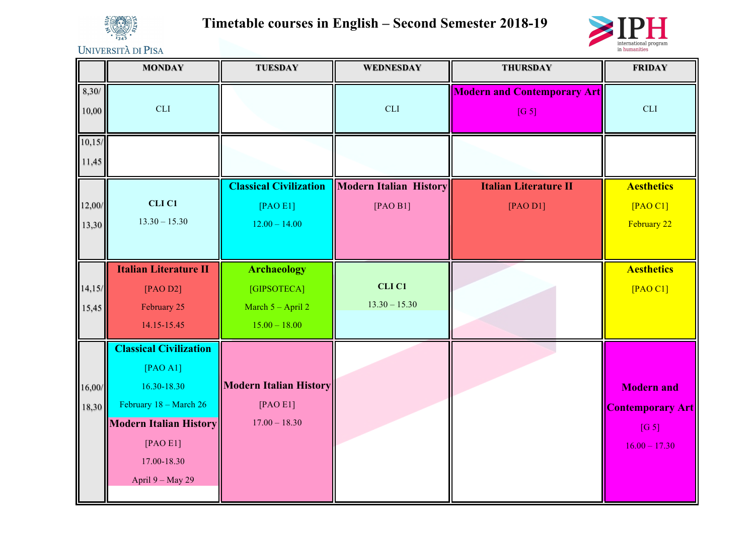

**Timetable courses in English – Second Semester 2018-19**



UNIVERSITÀ DI PISA

|                 | <b>MONDAY</b>                                                                                                                                                      | <b>TUESDAY</b>                                                              | <b>WEDNESDAY</b>                          | <b>THURSDAY</b>                             | <b>FRIDAY</b>                                                            |
|-----------------|--------------------------------------------------------------------------------------------------------------------------------------------------------------------|-----------------------------------------------------------------------------|-------------------------------------------|---------------------------------------------|--------------------------------------------------------------------------|
| 8,30/<br>10,00  | <b>CLI</b>                                                                                                                                                         |                                                                             | <b>CLI</b>                                | <b>Modern and Contemporary Art</b><br>[G 5] | <b>CLI</b>                                                               |
| 10,15/<br>11,45 |                                                                                                                                                                    |                                                                             |                                           |                                             |                                                                          |
| 12,00/<br>13,30 | CLI <sub>C1</sub><br>$13.30 - 15.30$                                                                                                                               | <b>Classical Civilization</b><br>[PAO E1]<br>$12.00 - 14.00$                | <b>Modern Italian History</b><br>[PAO B1] | <b>Italian Literature II</b><br>[PAO D1]    | <b>Aesthetics</b><br>[PAO C1]<br>February 22                             |
| 14,15/<br>15,45 | <b>Italian Literature II</b><br>[PAO D2]<br>February 25<br>14.15-15.45                                                                                             | <b>Archaeology</b><br>[GIPSOTECA]<br>March $5 -$ April 2<br>$15.00 - 18.00$ | CLI <sub>C1</sub><br>$13.30 - 15.30$      |                                             | <b>Aesthetics</b><br>$[PAO C1]$                                          |
| 16,00/<br>18,30 | <b>Classical Civilization</b><br>[PAO A1]<br>16.30-18.30<br>February 18 - March 26<br><b>Modern Italian History</b><br>[PAO E1]<br>17.00-18.30<br>April 9 - May 29 | <b>Modern Italian History</b><br>[PAO E1]<br>$17.00 - 18.30$                |                                           |                                             | <b>Modern and</b><br><b>Contemporary Art</b><br>[G 5]<br>$16.00 - 17.30$ |